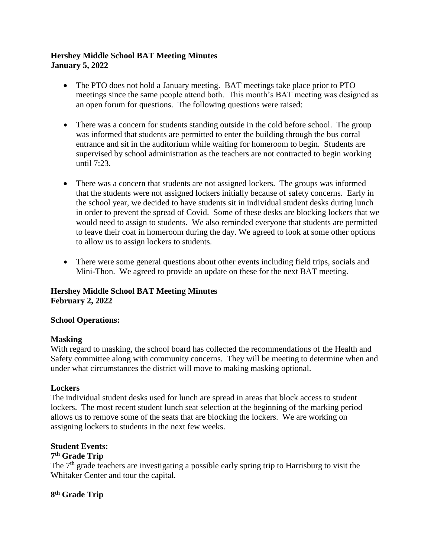# **Hershey Middle School BAT Meeting Minutes January 5, 2022**

- The PTO does not hold a January meeting. BAT meetings take place prior to PTO meetings since the same people attend both. This month's BAT meeting was designed as an open forum for questions. The following questions were raised:
- There was a concern for students standing outside in the cold before school. The group was informed that students are permitted to enter the building through the bus corral entrance and sit in the auditorium while waiting for homeroom to begin. Students are supervised by school administration as the teachers are not contracted to begin working until 7:23.
- There was a concern that students are not assigned lockers. The groups was informed that the students were not assigned lockers initially because of safety concerns. Early in the school year, we decided to have students sit in individual student desks during lunch in order to prevent the spread of Covid. Some of these desks are blocking lockers that we would need to assign to students. We also reminded everyone that students are permitted to leave their coat in homeroom during the day. We agreed to look at some other options to allow us to assign lockers to students.
- There were some general questions about other events including field trips, socials and Mini-Thon. We agreed to provide an update on these for the next BAT meeting.

## **Hershey Middle School BAT Meeting Minutes February 2, 2022**

## **School Operations:**

#### **Masking**

With regard to masking, the school board has collected the recommendations of the Health and Safety committee along with community concerns. They will be meeting to determine when and under what circumstances the district will move to making masking optional.

## **Lockers**

The individual student desks used for lunch are spread in areas that block access to student lockers. The most recent student lunch seat selection at the beginning of the marking period allows us to remove some of the seats that are blocking the lockers. We are working on assigning lockers to students in the next few weeks.

## **Student Events:**

## **7 th Grade Trip**

The  $7<sup>th</sup>$  grade teachers are investigating a possible early spring trip to Harrisburg to visit the Whitaker Center and tour the capital.

## **8 th Grade Trip**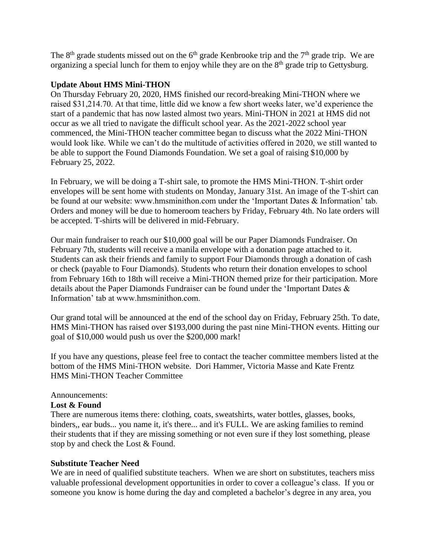The  $8<sup>th</sup>$  grade students missed out on the  $6<sup>th</sup>$  grade Kenbrooke trip and the  $7<sup>th</sup>$  grade trip. We are organizing a special lunch for them to enjoy while they are on the 8<sup>th</sup> grade trip to Gettysburg.

#### **Update About HMS Mini-THON**

On Thursday February 20, 2020, HMS finished our record-breaking Mini-THON where we raised \$31,214.70. At that time, little did we know a few short weeks later, we'd experience the start of a pandemic that has now lasted almost two years. Mini-THON in 2021 at HMS did not occur as we all tried to navigate the difficult school year. As the 2021-2022 school year commenced, the Mini-THON teacher committee began to discuss what the 2022 Mini-THON would look like. While we can't do the multitude of activities offered in 2020, we still wanted to be able to support the Found Diamonds Foundation. We set a goal of raising \$10,000 by February 25, 2022.

In February, we will be doing a T-shirt sale, to promote the HMS Mini-THON. T-shirt order envelopes will be sent home with students on Monday, January 31st. An image of the T-shirt can be found at our website: www.hmsminithon.com under the 'Important Dates & Information' tab. Orders and money will be due to homeroom teachers by Friday, February 4th. No late orders will be accepted. T-shirts will be delivered in mid-February.

Our main fundraiser to reach our \$10,000 goal will be our Paper Diamonds Fundraiser. On February 7th, students will receive a manila envelope with a donation page attached to it. Students can ask their friends and family to support Four Diamonds through a donation of cash or check (payable to Four Diamonds). Students who return their donation envelopes to school from February 16th to 18th will receive a Mini-THON themed prize for their participation. More details about the Paper Diamonds Fundraiser can be found under the 'Important Dates & Information' tab at www.hmsminithon.com.

Our grand total will be announced at the end of the school day on Friday, February 25th. To date, HMS Mini-THON has raised over \$193,000 during the past nine Mini-THON events. Hitting our goal of \$10,000 would push us over the \$200,000 mark!

If you have any questions, please feel free to contact the teacher committee members listed at the bottom of the HMS Mini-THON website. Dori Hammer, Victoria Masse and Kate Frentz HMS Mini-THON Teacher Committee

#### Announcements:

## **Lost & Found**

There are numerous items there: clothing, coats, sweatshirts, water bottles, glasses, books, binders,, ear buds... you name it, it's there... and it's FULL. We are asking families to remind their students that if they are missing something or not even sure if they lost something, please stop by and check the Lost & Found.

## **Substitute Teacher Need**

We are in need of qualified substitute teachers. When we are short on substitutes, teachers miss valuable professional development opportunities in order to cover a colleague's class. If you or someone you know is home during the day and completed a bachelor's degree in any area, you